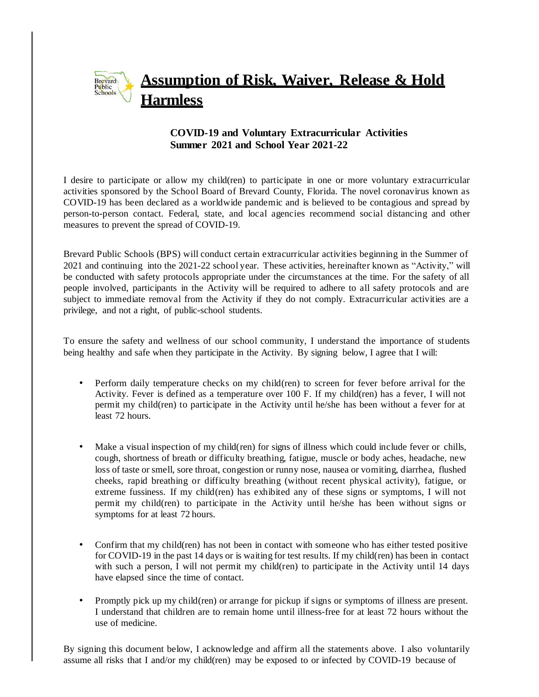## **Assumption of Risk, Waiver, Release & Hold** Brevard<br>Public<br>Schools **Harmless**

## **COVID-19 and Voluntary Extracurricular Activities Summer 2021 and School Year 2021-22**

I desire to participate or allow my child(ren) to participate in one or more voluntary extracurricular activities sponsored by the School Board of Brevard County, Florida. The novel coronavirus known as COVID-19 has been declared as a worldwide pandemic and is believed to be contagious and spread by person-to-person contact. Federal, state, and local agencies recommend social distancing and other measures to prevent the spread of COVID-19.

Brevard Public Schools (BPS) will conduct certain extracurricular activities beginning in the Summer of 2021 and continuing into the 2021-22 school year. These activities, hereinafter known as "Activity," will be conducted with safety protocols appropriate under the circumstances at the time. For the safety of all people involved, participants in the Activity will be required to adhere to all safety protocols and are subject to immediate removal from the Activity if they do not comply. Extracurricular activities are a privilege, and not a right, of public-school students.

To ensure the safety and wellness of our school community, I understand the importance of students being healthy and safe when they participate in the Activity. By signing below, I agree that I will:

- Perform daily temperature checks on my child(ren) to screen for fever before arrival for the Activity. Fever is defined as a temperature over 100 F. If my child(ren) has a fever, I will not permit my child(ren) to participate in the Activity until he/she has been without a fever for at least 72 hours.
- Make a visual inspection of my child(ren) for signs of illness which could include fever or chills, cough, shortness of breath or difficulty breathing, fatigue, muscle or body aches, headache, new loss of taste or smell, sore throat, congestion or runny nose, nausea or vomiting, diarrhea, flushed cheeks, rapid breathing or difficulty breathing (without recent physical activity), fatigue, or extreme fussiness. If my child(ren) has exhibited any of these signs or symptoms, I will not permit my child(ren) to participate in the Activity until he/she has been without signs or symptoms for at least 72 hours.
- Confirm that my child(ren) has not been in contact with someone who has either tested positive for COVID-19 in the past 14 days or is waiting for test results. If my child(ren) has been in contact with such a person, I will not permit my child(ren) to participate in the Activity until 14 days have elapsed since the time of contact.
- Promptly pick up my child(ren) or arrange for pickup if signs or symptoms of illness are present. I understand that children are to remain home until illness-free for at least 72 hours without the use of medicine.

By signing this document below, I acknowledge and affirm all the statements above. I also voluntarily assume all risks that I and/or my child(ren) may be exposed to or infected by COVID-19 because of